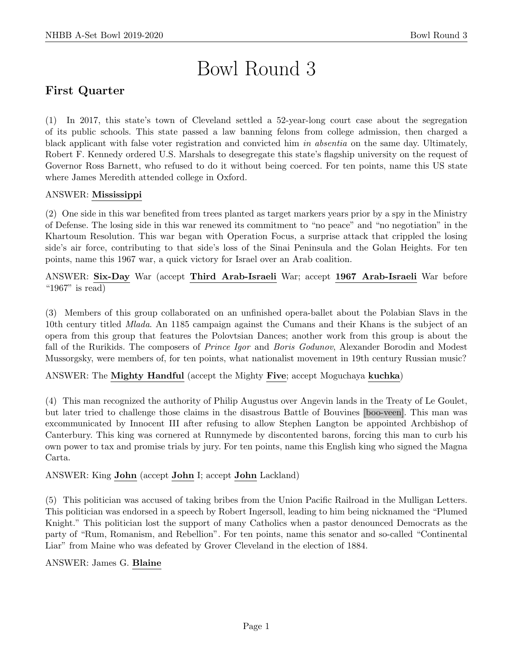# Bowl Round 3

# First Quarter

(1) In 2017, this state's town of Cleveland settled a 52-year-long court case about the segregation of its public schools. This state passed a law banning felons from college admission, then charged a black applicant with false voter registration and convicted him in absentia on the same day. Ultimately, Robert F. Kennedy ordered U.S. Marshals to desegregate this state's flagship university on the request of Governor Ross Barnett, who refused to do it without being coerced. For ten points, name this US state where James Meredith attended college in Oxford.

# ANSWER: Mississippi

(2) One side in this war benefited from trees planted as target markers years prior by a spy in the Ministry of Defense. The losing side in this war renewed its commitment to "no peace" and "no negotiation" in the Khartoum Resolution. This war began with Operation Focus, a surprise attack that crippled the losing side's air force, contributing to that side's loss of the Sinai Peninsula and the Golan Heights. For ten points, name this 1967 war, a quick victory for Israel over an Arab coalition.

ANSWER: Six-Day War (accept Third Arab-Israeli War; accept 1967 Arab-Israeli War before " $1967"$  is read)

(3) Members of this group collaborated on an unfinished opera-ballet about the Polabian Slavs in the 10th century titled Mlada. An 1185 campaign against the Cumans and their Khans is the subject of an opera from this group that features the Polovtsian Dances; another work from this group is about the fall of the Rurikids. The composers of *Prince Igor* and *Boris Godunov*, Alexander Borodin and Modest Mussorgsky, were members of, for ten points, what nationalist movement in 19th century Russian music?

ANSWER: The Mighty Handful (accept the Mighty Five; accept Moguchaya kuchka)

(4) This man recognized the authority of Philip Augustus over Angevin lands in the Treaty of Le Goulet, but later tried to challenge those claims in the disastrous Battle of Bouvines [boo-veen]. This man was excommunicated by Innocent III after refusing to allow Stephen Langton be appointed Archbishop of Canterbury. This king was cornered at Runnymede by discontented barons, forcing this man to curb his own power to tax and promise trials by jury. For ten points, name this English king who signed the Magna Carta.

ANSWER: King John (accept John I; accept John Lackland)

(5) This politician was accused of taking bribes from the Union Pacific Railroad in the Mulligan Letters. This politician was endorsed in a speech by Robert Ingersoll, leading to him being nicknamed the "Plumed Knight." This politician lost the support of many Catholics when a pastor denounced Democrats as the party of "Rum, Romanism, and Rebellion". For ten points, name this senator and so-called "Continental Liar" from Maine who was defeated by Grover Cleveland in the election of 1884.

# ANSWER: James G. Blaine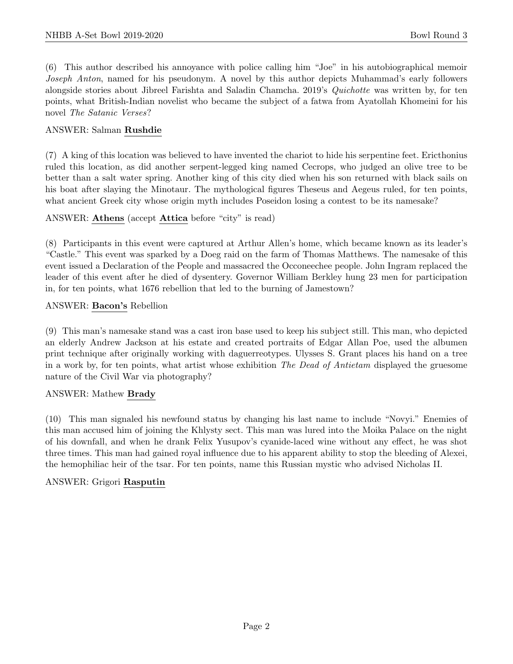(6) This author described his annoyance with police calling him "Joe" in his autobiographical memoir Joseph Anton, named for his pseudonym. A novel by this author depicts Muhammad's early followers alongside stories about Jibreel Farishta and Saladin Chamcha. 2019's Quichotte was written by, for ten points, what British-Indian novelist who became the subject of a fatwa from Ayatollah Khomeini for his novel The Satanic Verses?

# ANSWER: Salman Rushdie

(7) A king of this location was believed to have invented the chariot to hide his serpentine feet. Ericthonius ruled this location, as did another serpent-legged king named Cecrops, who judged an olive tree to be better than a salt water spring. Another king of this city died when his son returned with black sails on his boat after slaying the Minotaur. The mythological figures Theseus and Aegeus ruled, for ten points, what ancient Greek city whose origin myth includes Poseidon losing a contest to be its namesake?

# ANSWER: Athens (accept Attica before "city" is read)

(8) Participants in this event were captured at Arthur Allen's home, which became known as its leader's "Castle." This event was sparked by a Doeg raid on the farm of Thomas Matthews. The namesake of this event issued a Declaration of the People and massacred the Occoneechee people. John Ingram replaced the leader of this event after he died of dysentery. Governor William Berkley hung 23 men for participation in, for ten points, what 1676 rebellion that led to the burning of Jamestown?

#### ANSWER: Bacon's Rebellion

(9) This man's namesake stand was a cast iron base used to keep his subject still. This man, who depicted an elderly Andrew Jackson at his estate and created portraits of Edgar Allan Poe, used the albumen print technique after originally working with daguerreotypes. Ulysses S. Grant places his hand on a tree in a work by, for ten points, what artist whose exhibition The Dead of Antietam displayed the gruesome nature of the Civil War via photography?

# ANSWER: Mathew Brady

(10) This man signaled his newfound status by changing his last name to include "Novyi." Enemies of this man accused him of joining the Khlysty sect. This man was lured into the Moika Palace on the night of his downfall, and when he drank Felix Yusupov's cyanide-laced wine without any effect, he was shot three times. This man had gained royal influence due to his apparent ability to stop the bleeding of Alexei, the hemophiliac heir of the tsar. For ten points, name this Russian mystic who advised Nicholas II.

# ANSWER: Grigori Rasputin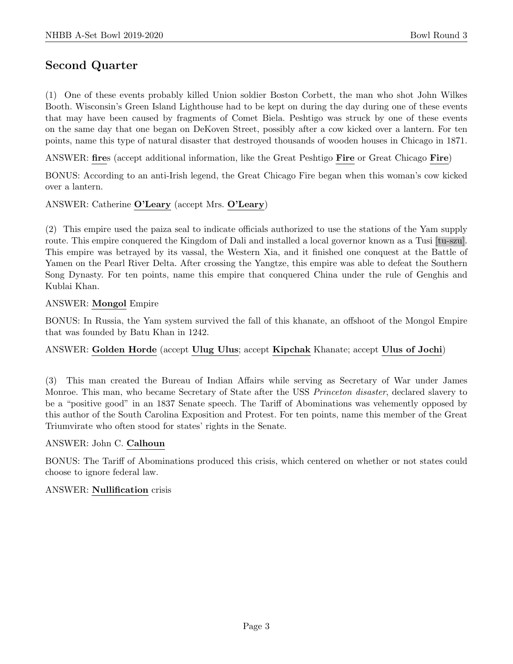# Second Quarter

(1) One of these events probably killed Union soldier Boston Corbett, the man who shot John Wilkes Booth. Wisconsin's Green Island Lighthouse had to be kept on during the day during one of these events that may have been caused by fragments of Comet Biela. Peshtigo was struck by one of these events on the same day that one began on DeKoven Street, possibly after a cow kicked over a lantern. For ten points, name this type of natural disaster that destroyed thousands of wooden houses in Chicago in 1871.

ANSWER: fires (accept additional information, like the Great Peshtigo Fire or Great Chicago Fire)

BONUS: According to an anti-Irish legend, the Great Chicago Fire began when this woman's cow kicked over a lantern.

# ANSWER: Catherine O'Leary (accept Mrs. O'Leary)

(2) This empire used the paiza seal to indicate officials authorized to use the stations of the Yam supply route. This empire conquered the Kingdom of Dali and installed a local governor known as a Tusi [tu-szu]. This empire was betrayed by its vassal, the Western Xia, and it finished one conquest at the Battle of Yamen on the Pearl River Delta. After crossing the Yangtze, this empire was able to defeat the Southern Song Dynasty. For ten points, name this empire that conquered China under the rule of Genghis and Kublai Khan.

# ANSWER: Mongol Empire

BONUS: In Russia, the Yam system survived the fall of this khanate, an offshoot of the Mongol Empire that was founded by Batu Khan in 1242.

# ANSWER: Golden Horde (accept Ulug Ulus; accept Kipchak Khanate; accept Ulus of Jochi)

(3) This man created the Bureau of Indian Affairs while serving as Secretary of War under James Monroe. This man, who became Secretary of State after the USS Princeton disaster, declared slavery to be a "positive good" in an 1837 Senate speech. The Tariff of Abominations was vehemently opposed by this author of the South Carolina Exposition and Protest. For ten points, name this member of the Great Triumvirate who often stood for states' rights in the Senate.

# ANSWER: John C. Calhoun

BONUS: The Tariff of Abominations produced this crisis, which centered on whether or not states could choose to ignore federal law.

# ANSWER: Nullification crisis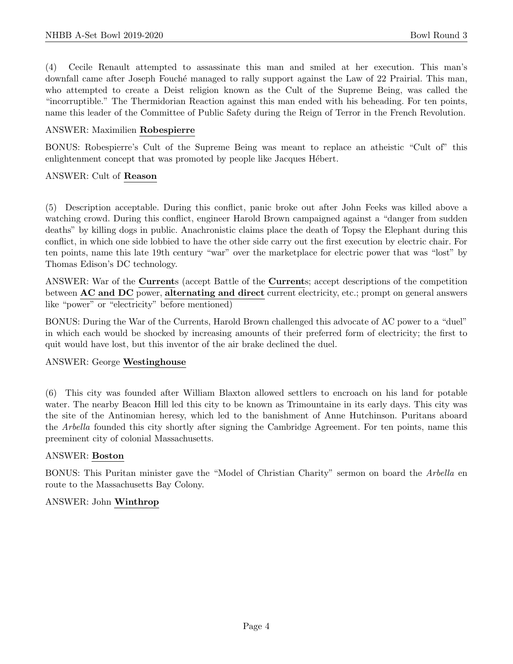(4) Cecile Renault attempted to assassinate this man and smiled at her execution. This man's downfall came after Joseph Fouché managed to rally support against the Law of 22 Prairial. This man, who attempted to create a Deist religion known as the Cult of the Supreme Being, was called the "incorruptible." The Thermidorian Reaction against this man ended with his beheading. For ten points, name this leader of the Committee of Public Safety during the Reign of Terror in the French Revolution.

#### ANSWER: Maximilien Robespierre

BONUS: Robespierre's Cult of the Supreme Being was meant to replace an atheistic "Cult of" this enlightenment concept that was promoted by people like Jacques Hébert.

#### ANSWER: Cult of Reason

(5) Description acceptable. During this conflict, panic broke out after John Feeks was killed above a watching crowd. During this conflict, engineer Harold Brown campaigned against a "danger from sudden deaths" by killing dogs in public. Anachronistic claims place the death of Topsy the Elephant during this conflict, in which one side lobbied to have the other side carry out the first execution by electric chair. For ten points, name this late 19th century "war" over the marketplace for electric power that was "lost" by Thomas Edison's DC technology.

ANSWER: War of the Currents (accept Battle of the Currents; accept descriptions of the competition between AC and DC power, alternating and direct current electricity, etc.; prompt on general answers like "power" or "electricity" before mentioned)

BONUS: During the War of the Currents, Harold Brown challenged this advocate of AC power to a "duel" in which each would be shocked by increasing amounts of their preferred form of electricity; the first to quit would have lost, but this inventor of the air brake declined the duel.

# ANSWER: George Westinghouse

(6) This city was founded after William Blaxton allowed settlers to encroach on his land for potable water. The nearby Beacon Hill led this city to be known as Trimountaine in its early days. This city was the site of the Antinomian heresy, which led to the banishment of Anne Hutchinson. Puritans aboard the Arbella founded this city shortly after signing the Cambridge Agreement. For ten points, name this preeminent city of colonial Massachusetts.

# ANSWER: Boston

BONUS: This Puritan minister gave the "Model of Christian Charity" sermon on board the Arbella en route to the Massachusetts Bay Colony.

#### ANSWER: John Winthrop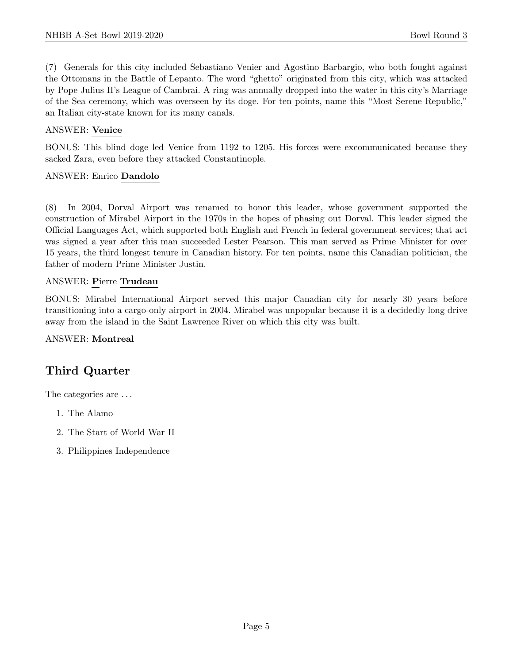(7) Generals for this city included Sebastiano Venier and Agostino Barbargio, who both fought against the Ottomans in the Battle of Lepanto. The word "ghetto" originated from this city, which was attacked by Pope Julius II's League of Cambrai. A ring was annually dropped into the water in this city's Marriage of the Sea ceremony, which was overseen by its doge. For ten points, name this "Most Serene Republic," an Italian city-state known for its many canals.

# ANSWER: Venice

BONUS: This blind doge led Venice from 1192 to 1205. His forces were excommunicated because they sacked Zara, even before they attacked Constantinople.

# ANSWER: Enrico Dandolo

(8) In 2004, Dorval Airport was renamed to honor this leader, whose government supported the construction of Mirabel Airport in the 1970s in the hopes of phasing out Dorval. This leader signed the Official Languages Act, which supported both English and French in federal government services; that act was signed a year after this man succeeded Lester Pearson. This man served as Prime Minister for over 15 years, the third longest tenure in Canadian history. For ten points, name this Canadian politician, the father of modern Prime Minister Justin.

# ANSWER: Pierre Trudeau

BONUS: Mirabel International Airport served this major Canadian city for nearly 30 years before transitioning into a cargo-only airport in 2004. Mirabel was unpopular because it is a decidedly long drive away from the island in the Saint Lawrence River on which this city was built.

# ANSWER: Montreal

# Third Quarter

The categories are  $\dots$ 

- 1. The Alamo
- 2. The Start of World War II
- 3. Philippines Independence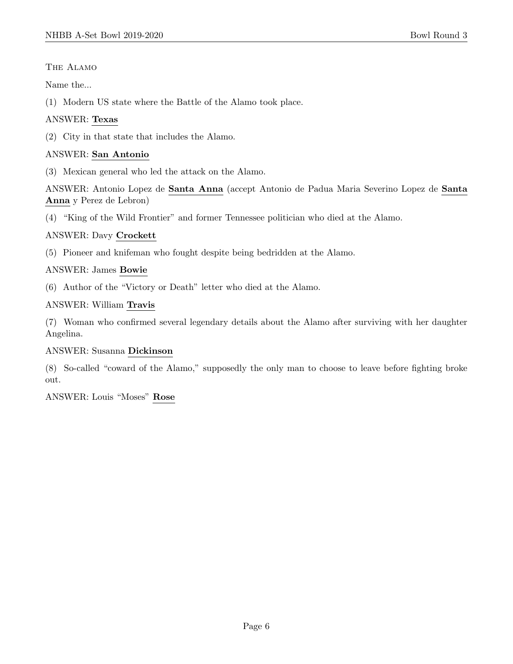# The Alamo

Name the...

(1) Modern US state where the Battle of the Alamo took place.

# ANSWER: Texas

(2) City in that state that includes the Alamo.

# ANSWER: San Antonio

(3) Mexican general who led the attack on the Alamo.

ANSWER: Antonio Lopez de Santa Anna (accept Antonio de Padua Maria Severino Lopez de Santa Anna y Perez de Lebron)

(4) "King of the Wild Frontier" and former Tennessee politician who died at the Alamo.

# ANSWER: Davy Crockett

(5) Pioneer and knifeman who fought despite being bedridden at the Alamo.

# ANSWER: James Bowie

(6) Author of the "Victory or Death" letter who died at the Alamo.

# ANSWER: William Travis

(7) Woman who confirmed several legendary details about the Alamo after surviving with her daughter Angelina.

# ANSWER: Susanna Dickinson

(8) So-called "coward of the Alamo," supposedly the only man to choose to leave before fighting broke out.

ANSWER: Louis "Moses" Rose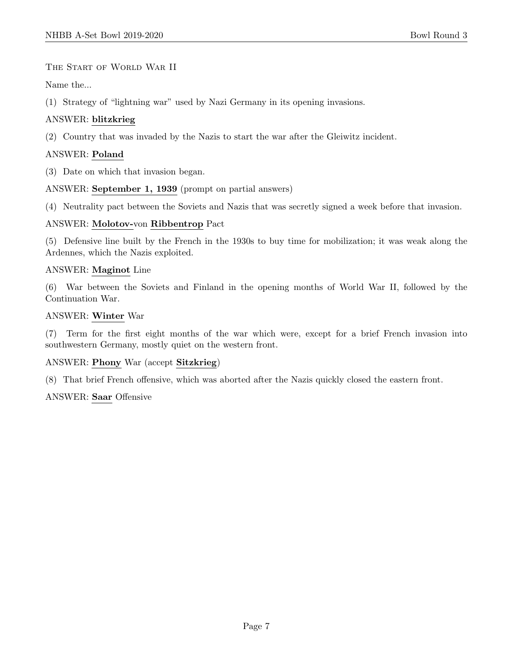The Start of World War II

Name the...

(1) Strategy of "lightning war" used by Nazi Germany in its opening invasions.

# ANSWER: blitzkrieg

(2) Country that was invaded by the Nazis to start the war after the Gleiwitz incident.

# ANSWER: Poland

(3) Date on which that invasion began.

ANSWER: September 1, 1939 (prompt on partial answers)

(4) Neutrality pact between the Soviets and Nazis that was secretly signed a week before that invasion.

#### ANSWER: Molotov-von Ribbentrop Pact

(5) Defensive line built by the French in the 1930s to buy time for mobilization; it was weak along the Ardennes, which the Nazis exploited.

#### ANSWER: Maginot Line

(6) War between the Soviets and Finland in the opening months of World War II, followed by the Continuation War.

#### ANSWER: Winter War

(7) Term for the first eight months of the war which were, except for a brief French invasion into southwestern Germany, mostly quiet on the western front.

# ANSWER: Phony War (accept Sitzkrieg)

(8) That brief French offensive, which was aborted after the Nazis quickly closed the eastern front.

# ANSWER: Saar Offensive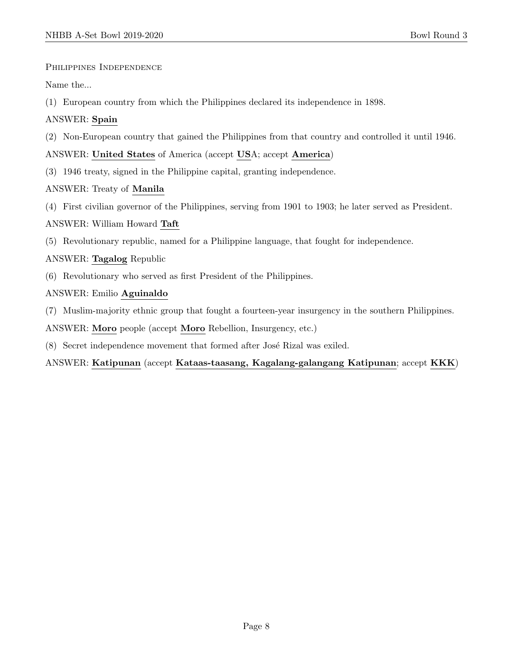Philippines Independence

Name the...

(1) European country from which the Philippines declared its independence in 1898.

# ANSWER: Spain

(2) Non-European country that gained the Philippines from that country and controlled it until 1946.

ANSWER: United States of America (accept USA; accept America)

(3) 1946 treaty, signed in the Philippine capital, granting independence.

# ANSWER: Treaty of Manila

(4) First civilian governor of the Philippines, serving from 1901 to 1903; he later served as President.

# ANSWER: William Howard Taft

(5) Revolutionary republic, named for a Philippine language, that fought for independence.

# ANSWER: Tagalog Republic

(6) Revolutionary who served as first President of the Philippines.

# ANSWER: Emilio Aguinaldo

(7) Muslim-majority ethnic group that fought a fourteen-year insurgency in the southern Philippines.

ANSWER: Moro people (accept Moro Rebellion, Insurgency, etc.)

(8) Secret independence movement that formed after José Rizal was exiled.

# ANSWER: Katipunan (accept Kataas-taasang, Kagalang-galangang Katipunan; accept KKK)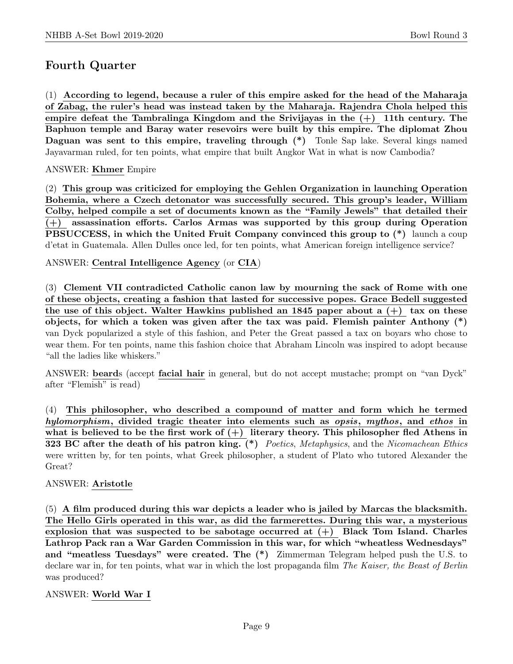# Fourth Quarter

(1) According to legend, because a ruler of this empire asked for the head of the Maharaja of Zabag, the ruler's head was instead taken by the Maharaja. Rajendra Chola helped this empire defeat the Tambralinga Kingdom and the Srivijayas in the  $(+)$  11th century. The Baphuon temple and Baray water resevoirs were built by this empire. The diplomat Zhou Daguan was sent to this empire, traveling through (\*) Tonle Sap lake. Several kings named Jayavarman ruled, for ten points, what empire that built Angkor Wat in what is now Cambodia?

# ANSWER: Khmer Empire

(2) This group was criticized for employing the Gehlen Organization in launching Operation Bohemia, where a Czech detonator was successfully secured. This group's leader, William Colby, helped compile a set of documents known as the "Family Jewels" that detailed their (+) assassination efforts. Carlos Armas was supported by this group during Operation PBSUCCESS, in which the United Fruit Company convinced this group to  $(*)$  launch a coup d'etat in Guatemala. Allen Dulles once led, for ten points, what American foreign intelligence service?

# ANSWER: Central Intelligence Agency (or CIA)

(3) Clement VII contradicted Catholic canon law by mourning the sack of Rome with one of these objects, creating a fashion that lasted for successive popes. Grace Bedell suggested the use of this object. Walter Hawkins published an 1845 paper about a  $(+)$  tax on these objects, for which a token was given after the tax was paid. Flemish painter Anthony (\*) van Dyck popularized a style of this fashion, and Peter the Great passed a tax on boyars who chose to wear them. For ten points, name this fashion choice that Abraham Lincoln was inspired to adopt because "all the ladies like whiskers."

ANSWER: beards (accept facial hair in general, but do not accept mustache; prompt on "van Dyck" after "Flemish" is read)

(4) This philosopher, who described a compound of matter and form which he termed hylomorphism, divided tragic theater into elements such as opsis, mythos, and ethos in what is believed to be the first work of  $(+)$  literary theory. This philosopher fled Athens in 323 BC after the death of his patron king.  $(*)$  Poetics, Metaphysics, and the Nicomachean Ethics were written by, for ten points, what Greek philosopher, a student of Plato who tutored Alexander the Great?

# ANSWER: Aristotle

(5) A film produced during this war depicts a leader who is jailed by Marcas the blacksmith. The Hello Girls operated in this war, as did the farmerettes. During this war, a mysterious explosion that was suspected to be sabotage occurred at  $(+)$  Black Tom Island. Charles Lathrop Pack ran a War Garden Commission in this war, for which "wheatless Wednesdays" and "meatless Tuesdays" were created. The (\*) Zimmerman Telegram helped push the U.S. to declare war in, for ten points, what war in which the lost propaganda film The Kaiser, the Beast of Berlin was produced?

# ANSWER: World War I